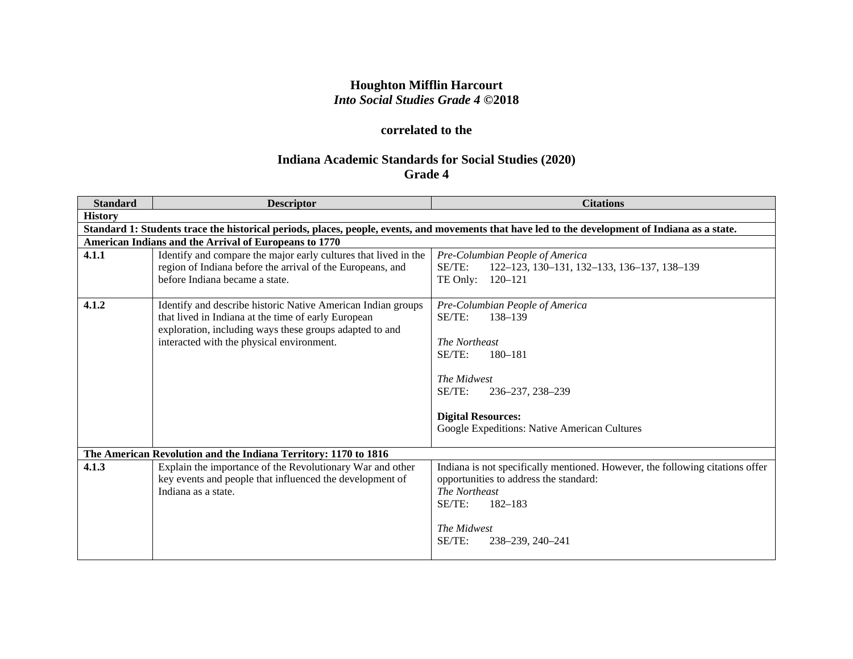# **Houghton Mifflin Harcourt** *Into Social Studies Grade 4* **©2018**

# **correlated to the**

# **Indiana Academic Standards for Social Studies (2020) Grade 4**

| <b>Standard</b> | <b>Descriptor</b>                                                                                                                                                                                                           | <b>Citations</b>                                                                                                                                                                                                           |
|-----------------|-----------------------------------------------------------------------------------------------------------------------------------------------------------------------------------------------------------------------------|----------------------------------------------------------------------------------------------------------------------------------------------------------------------------------------------------------------------------|
| <b>History</b>  |                                                                                                                                                                                                                             |                                                                                                                                                                                                                            |
|                 |                                                                                                                                                                                                                             | Standard 1: Students trace the historical periods, places, people, events, and movements that have led to the development of Indiana as a state.                                                                           |
|                 | American Indians and the Arrival of Europeans to 1770                                                                                                                                                                       |                                                                                                                                                                                                                            |
| 4.1.1           | Identify and compare the major early cultures that lived in the<br>region of Indiana before the arrival of the Europeans, and<br>before Indiana became a state.                                                             | Pre-Columbian People of America<br>SE/TE:<br>122-123, 130-131, 132-133, 136-137, 138-139<br>TE Only:<br>120–121                                                                                                            |
| 4.1.2           | Identify and describe historic Native American Indian groups<br>that lived in Indiana at the time of early European<br>exploration, including ways these groups adapted to and<br>interacted with the physical environment. | Pre-Columbian People of America<br>SE/TE:<br>138-139<br>The Northeast<br>$SE/TE$ :<br>180-181<br>The Midwest<br>$SE/TE$ :<br>236-237, 238-239<br><b>Digital Resources:</b><br>Google Expeditions: Native American Cultures |
|                 | The American Revolution and the Indiana Territory: 1170 to 1816                                                                                                                                                             |                                                                                                                                                                                                                            |
| 4.1.3           | Explain the importance of the Revolutionary War and other<br>key events and people that influenced the development of<br>Indiana as a state.                                                                                | Indiana is not specifically mentioned. However, the following citations offer<br>opportunities to address the standard:<br>The Northeast<br>SE/TE:<br>$182 - 183$<br>The Midwest<br>SE/TE:<br>238-239, 240-241             |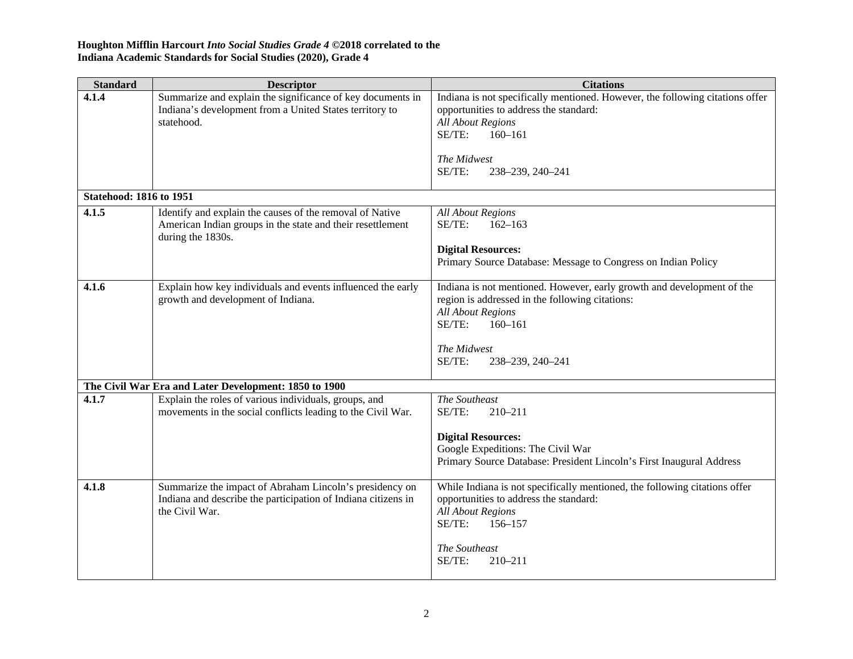| <b>Standard</b>                | <b>Descriptor</b>                                                                                                                           | <b>Citations</b>                                                                                                                                                                                                            |
|--------------------------------|---------------------------------------------------------------------------------------------------------------------------------------------|-----------------------------------------------------------------------------------------------------------------------------------------------------------------------------------------------------------------------------|
| 4.1.4                          | Summarize and explain the significance of key documents in<br>Indiana's development from a United States territory to<br>statehood.         | Indiana is not specifically mentioned. However, the following citations offer<br>opportunities to address the standard:<br><b>All About Regions</b><br>$160 - 161$<br>SE/TE:<br>The Midwest<br>SE/TE:<br>238-239, 240-241   |
| <b>Statehood: 1816 to 1951</b> |                                                                                                                                             |                                                                                                                                                                                                                             |
| 4.1.5                          | Identify and explain the causes of the removal of Native<br>American Indian groups in the state and their resettlement<br>during the 1830s. | <b>All About Regions</b><br>$SE/TE$ :<br>$162 - 163$<br><b>Digital Resources:</b><br>Primary Source Database: Message to Congress on Indian Policy                                                                          |
| 4.1.6                          | Explain how key individuals and events influenced the early<br>growth and development of Indiana.                                           | Indiana is not mentioned. However, early growth and development of the<br>region is addressed in the following citations:<br><b>All About Regions</b><br>SE/TE:<br>$160 - 161$<br>The Midwest<br>SE/TE:<br>238-239, 240-241 |
|                                | The Civil War Era and Later Development: 1850 to 1900                                                                                       |                                                                                                                                                                                                                             |
| 4.1.7                          | Explain the roles of various individuals, groups, and<br>movements in the social conflicts leading to the Civil War.                        | The Southeast<br>SE/TE:<br>210-211<br><b>Digital Resources:</b><br>Google Expeditions: The Civil War<br>Primary Source Database: President Lincoln's First Inaugural Address                                                |
| 4.1.8                          | Summarize the impact of Abraham Lincoln's presidency on<br>Indiana and describe the participation of Indiana citizens in<br>the Civil War.  | While Indiana is not specifically mentioned, the following citations offer<br>opportunities to address the standard:<br><b>All About Regions</b><br>SE/TE:<br>$156 - 157$<br>The Southeast<br>SE/TE:<br>210-211             |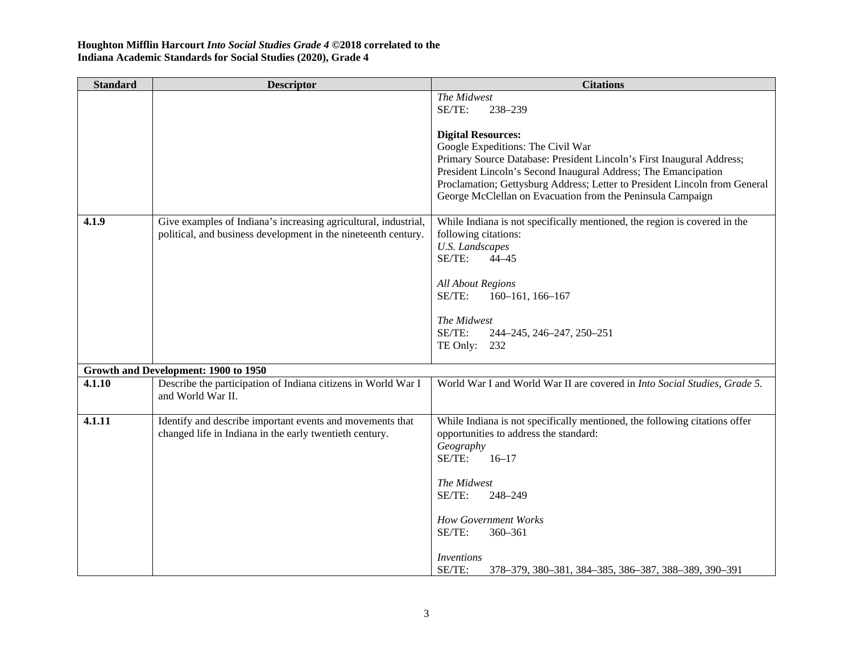| <b>Standard</b> | <b>Descriptor</b>                                                                                                    | <b>Citations</b>                                                                                                                                                                                                                                                                    |
|-----------------|----------------------------------------------------------------------------------------------------------------------|-------------------------------------------------------------------------------------------------------------------------------------------------------------------------------------------------------------------------------------------------------------------------------------|
|                 |                                                                                                                      | The Midwest<br>SE/TE:<br>238-239                                                                                                                                                                                                                                                    |
|                 |                                                                                                                      | <b>Digital Resources:</b>                                                                                                                                                                                                                                                           |
|                 |                                                                                                                      | Google Expeditions: The Civil War                                                                                                                                                                                                                                                   |
|                 |                                                                                                                      | Primary Source Database: President Lincoln's First Inaugural Address;<br>President Lincoln's Second Inaugural Address; The Emancipation<br>Proclamation; Gettysburg Address; Letter to President Lincoln from General<br>George McClellan on Evacuation from the Peninsula Campaign |
| 4.1.9           | Give examples of Indiana's increasing agricultural, industrial,                                                      | While Indiana is not specifically mentioned, the region is covered in the                                                                                                                                                                                                           |
|                 | political, and business development in the nineteenth century.                                                       | following citations:<br><b>U.S.</b> Landscapes<br>SE/TE:<br>$44 - 45$                                                                                                                                                                                                               |
|                 |                                                                                                                      |                                                                                                                                                                                                                                                                                     |
|                 |                                                                                                                      | <b>All About Regions</b><br>SE/TE:<br>$160 - 161$ , $166 - 167$                                                                                                                                                                                                                     |
|                 |                                                                                                                      | The Midwest<br>SE/TE:<br>244-245, 246-247, 250-251                                                                                                                                                                                                                                  |
|                 |                                                                                                                      | TE Only: 232                                                                                                                                                                                                                                                                        |
|                 | Growth and Development: 1900 to 1950                                                                                 |                                                                                                                                                                                                                                                                                     |
| 4.1.10          | Describe the participation of Indiana citizens in World War I<br>and World War II.                                   | World War I and World War II are covered in Into Social Studies, Grade 5.                                                                                                                                                                                                           |
| 4.1.11          | Identify and describe important events and movements that<br>changed life in Indiana in the early twentieth century. | While Indiana is not specifically mentioned, the following citations offer<br>opportunities to address the standard:                                                                                                                                                                |
|                 |                                                                                                                      | Geography<br>$SE/TE$ :<br>$16 - 17$                                                                                                                                                                                                                                                 |
|                 |                                                                                                                      | The Midwest                                                                                                                                                                                                                                                                         |
|                 |                                                                                                                      | SE/TE:<br>248-249                                                                                                                                                                                                                                                                   |
|                 |                                                                                                                      | <b>How Government Works</b>                                                                                                                                                                                                                                                         |
|                 |                                                                                                                      | SE/TE:<br>$360 - 361$                                                                                                                                                                                                                                                               |
|                 |                                                                                                                      | Inventions<br>SE/TE:                                                                                                                                                                                                                                                                |
|                 |                                                                                                                      | 378-379, 380-381, 384-385, 386-387, 388-389, 390-391                                                                                                                                                                                                                                |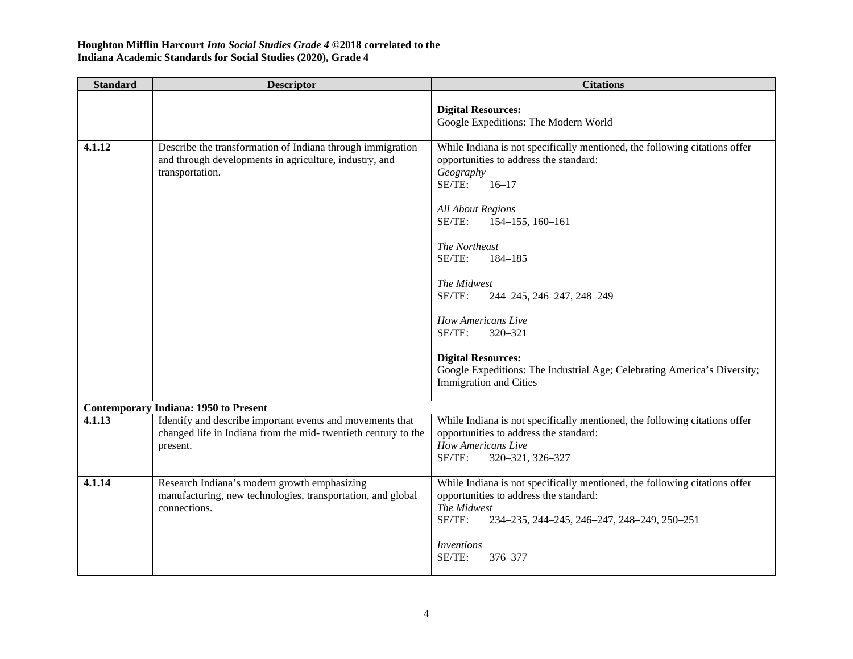| <b>Standard</b> | <b>Descriptor</b>                                                                                                                       | <b>Citations</b>                                                                                                                                                                                                                                                                                                                                                                                                                                                                                           |
|-----------------|-----------------------------------------------------------------------------------------------------------------------------------------|------------------------------------------------------------------------------------------------------------------------------------------------------------------------------------------------------------------------------------------------------------------------------------------------------------------------------------------------------------------------------------------------------------------------------------------------------------------------------------------------------------|
|                 |                                                                                                                                         | <b>Digital Resources:</b><br>Google Expeditions: The Modern World                                                                                                                                                                                                                                                                                                                                                                                                                                          |
| 4.1.12          | Describe the transformation of Indiana through immigration<br>and through developments in agriculture, industry, and<br>transportation. | While Indiana is not specifically mentioned, the following citations offer<br>opportunities to address the standard:<br>Geography<br>SE/TE:<br>$16 - 17$<br><b>All About Regions</b><br>SE/TE:<br>154-155, 160-161<br>The Northeast<br>SE/TE:<br>184-185<br>The Midwest<br>SE/TE:<br>244-245, 246-247, 248-249<br><b>How Americans Live</b><br>SE/TE:<br>320-321<br><b>Digital Resources:</b><br>Google Expeditions: The Industrial Age; Celebrating America's Diversity;<br><b>Immigration</b> and Cities |
|                 | <b>Contemporary Indiana: 1950 to Present</b>                                                                                            |                                                                                                                                                                                                                                                                                                                                                                                                                                                                                                            |
| 4.1.13          | Identify and describe important events and movements that<br>changed life in Indiana from the mid-twentieth century to the<br>present.  | While Indiana is not specifically mentioned, the following citations offer<br>opportunities to address the standard:<br>How Americans Live<br>SE/TE:<br>320-321, 326-327                                                                                                                                                                                                                                                                                                                                   |
| 4.1.14          | Research Indiana's modern growth emphasizing<br>manufacturing, new technologies, transportation, and global<br>connections.             | While Indiana is not specifically mentioned, the following citations offer<br>opportunities to address the standard:<br>The Midwest<br>SE/TE:<br>234-235, 244-245, 246-247, 248-249, 250-251<br><i>Inventions</i><br>SE/TE:<br>376-377                                                                                                                                                                                                                                                                     |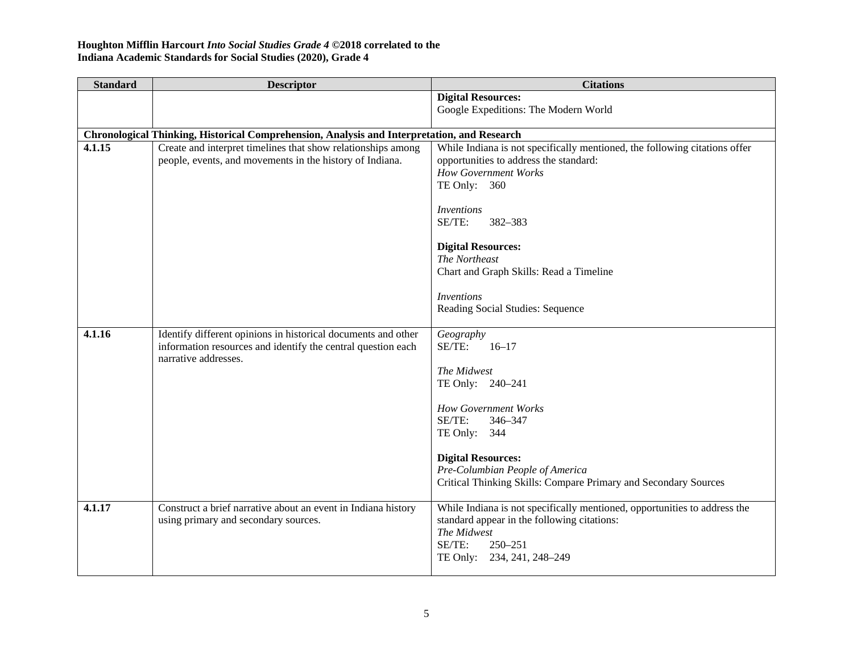| <b>Standard</b> | <b>Descriptor</b>                                                                                                             | <b>Citations</b>                                                           |
|-----------------|-------------------------------------------------------------------------------------------------------------------------------|----------------------------------------------------------------------------|
|                 |                                                                                                                               | <b>Digital Resources:</b>                                                  |
|                 |                                                                                                                               | Google Expeditions: The Modern World                                       |
|                 | Chronological Thinking, Historical Comprehension, Analysis and Interpretation, and Research                                   |                                                                            |
| 4.1.15          | Create and interpret timelines that show relationships among                                                                  | While Indiana is not specifically mentioned, the following citations offer |
|                 | people, events, and movements in the history of Indiana.                                                                      | opportunities to address the standard:                                     |
|                 |                                                                                                                               | <b>How Government Works</b>                                                |
|                 |                                                                                                                               | TE Only: $360$                                                             |
|                 |                                                                                                                               | <b>Inventions</b>                                                          |
|                 |                                                                                                                               | SE/TE:<br>382-383                                                          |
|                 |                                                                                                                               |                                                                            |
|                 |                                                                                                                               | <b>Digital Resources:</b>                                                  |
|                 |                                                                                                                               | The Northeast                                                              |
|                 |                                                                                                                               | Chart and Graph Skills: Read a Timeline                                    |
|                 |                                                                                                                               | <b>Inventions</b>                                                          |
|                 |                                                                                                                               | Reading Social Studies: Sequence                                           |
|                 |                                                                                                                               |                                                                            |
| 4.1.16          | Identify different opinions in historical documents and other<br>information resources and identify the central question each | Geography<br>SE/TE:<br>$16 - 17$                                           |
|                 | narrative addresses.                                                                                                          |                                                                            |
|                 |                                                                                                                               | The Midwest                                                                |
|                 |                                                                                                                               | TE Only: 240-241                                                           |
|                 |                                                                                                                               | <b>How Government Works</b>                                                |
|                 |                                                                                                                               | SE/TE:<br>346-347                                                          |
|                 |                                                                                                                               | TE Only: 344                                                               |
|                 |                                                                                                                               |                                                                            |
|                 |                                                                                                                               | <b>Digital Resources:</b><br>Pre-Columbian People of America               |
|                 |                                                                                                                               | Critical Thinking Skills: Compare Primary and Secondary Sources            |
|                 |                                                                                                                               |                                                                            |
| 4.1.17          | Construct a brief narrative about an event in Indiana history                                                                 | While Indiana is not specifically mentioned, opportunities to address the  |
|                 | using primary and secondary sources.                                                                                          | standard appear in the following citations:<br>The Midwest                 |
|                 |                                                                                                                               | $SE/TE$ :<br>$250 - 251$                                                   |
|                 |                                                                                                                               | TE Only: 234, 241, 248-249                                                 |
|                 |                                                                                                                               |                                                                            |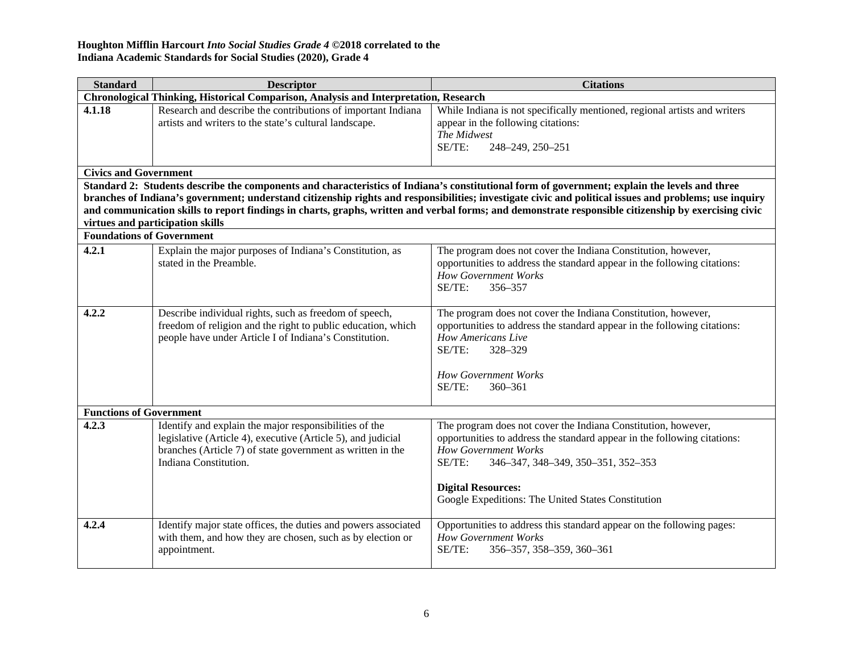| <b>Standard</b>                                                                                                                                                                                                                                                                                                                                                                                                                                                                                     | <b>Descriptor</b>                                                                                                                                                                                             | <b>Citations</b>                                                                                                                                                                                                                                      |
|-----------------------------------------------------------------------------------------------------------------------------------------------------------------------------------------------------------------------------------------------------------------------------------------------------------------------------------------------------------------------------------------------------------------------------------------------------------------------------------------------------|---------------------------------------------------------------------------------------------------------------------------------------------------------------------------------------------------------------|-------------------------------------------------------------------------------------------------------------------------------------------------------------------------------------------------------------------------------------------------------|
| Chronological Thinking, Historical Comparison, Analysis and Interpretation, Research                                                                                                                                                                                                                                                                                                                                                                                                                |                                                                                                                                                                                                               |                                                                                                                                                                                                                                                       |
| 4.1.18                                                                                                                                                                                                                                                                                                                                                                                                                                                                                              | Research and describe the contributions of important Indiana<br>artists and writers to the state's cultural landscape.                                                                                        | While Indiana is not specifically mentioned, regional artists and writers<br>appear in the following citations:<br>The Midwest<br>SE/TE:<br>248-249, 250-251                                                                                          |
| <b>Civics and Government</b>                                                                                                                                                                                                                                                                                                                                                                                                                                                                        |                                                                                                                                                                                                               |                                                                                                                                                                                                                                                       |
| Standard 2: Students describe the components and characteristics of Indiana's constitutional form of government; explain the levels and three<br>branches of Indiana's government; understand citizenship rights and responsibilities; investigate civic and political issues and problems; use inquiry<br>and communication skills to report findings in charts, graphs, written and verbal forms; and demonstrate responsible citizenship by exercising civic<br>virtues and participation skills |                                                                                                                                                                                                               |                                                                                                                                                                                                                                                       |
| <b>Foundations of Government</b>                                                                                                                                                                                                                                                                                                                                                                                                                                                                    |                                                                                                                                                                                                               |                                                                                                                                                                                                                                                       |
| 4.2.1                                                                                                                                                                                                                                                                                                                                                                                                                                                                                               | Explain the major purposes of Indiana's Constitution, as<br>stated in the Preamble.                                                                                                                           | The program does not cover the Indiana Constitution, however,<br>opportunities to address the standard appear in the following citations:<br><b>How Government Works</b><br>SE/TE:<br>356-357                                                         |
| 4.2.2                                                                                                                                                                                                                                                                                                                                                                                                                                                                                               | Describe individual rights, such as freedom of speech,<br>freedom of religion and the right to public education, which<br>people have under Article I of Indiana's Constitution.                              | The program does not cover the Indiana Constitution, however,<br>opportunities to address the standard appear in the following citations:<br>How Americans Live<br>SE/TE:<br>328-329<br><b>How Government Works</b><br>$SE/TE$ :<br>$360 - 361$       |
| <b>Functions of Government</b>                                                                                                                                                                                                                                                                                                                                                                                                                                                                      |                                                                                                                                                                                                               |                                                                                                                                                                                                                                                       |
| 4.2.3                                                                                                                                                                                                                                                                                                                                                                                                                                                                                               | Identify and explain the major responsibilities of the<br>legislative (Article 4), executive (Article 5), and judicial<br>branches (Article 7) of state government as written in the<br>Indiana Constitution. | The program does not cover the Indiana Constitution, however,<br>opportunities to address the standard appear in the following citations:<br><b>How Government Works</b><br>SE/TE:<br>346-347, 348-349, 350-351, 352-353<br><b>Digital Resources:</b> |
|                                                                                                                                                                                                                                                                                                                                                                                                                                                                                                     |                                                                                                                                                                                                               | Google Expeditions: The United States Constitution                                                                                                                                                                                                    |
| 4.2.4                                                                                                                                                                                                                                                                                                                                                                                                                                                                                               | Identify major state offices, the duties and powers associated<br>with them, and how they are chosen, such as by election or<br>appointment.                                                                  | Opportunities to address this standard appear on the following pages:<br><b>How Government Works</b><br>SE/TE:<br>356-357, 358-359, 360-361                                                                                                           |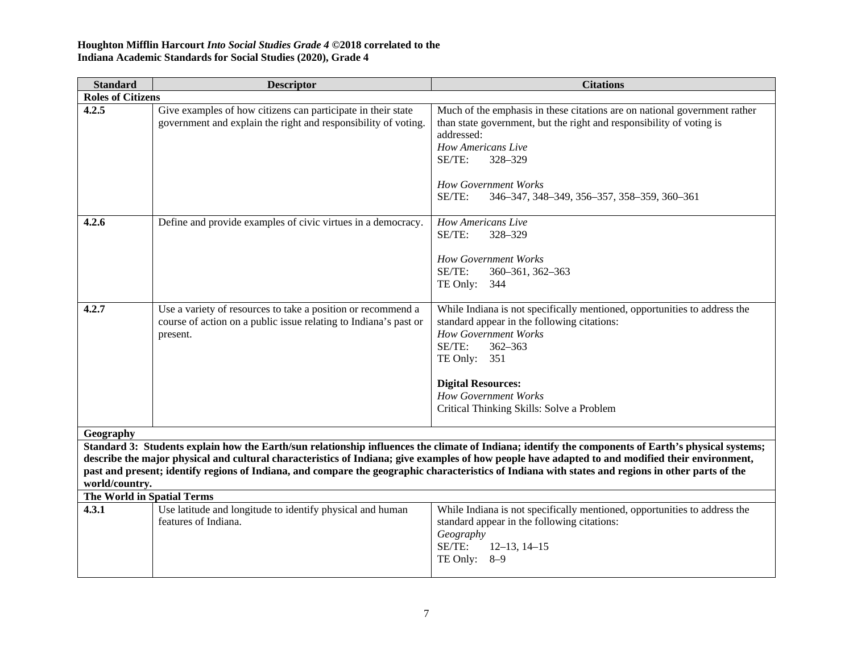| <b>Standard</b>            | <b>Descriptor</b>                                                                                                                                                                                                                                                                                                                                                                                                                                                               | <b>Citations</b>                                                                                                                                                                                                                                                                                          |  |
|----------------------------|---------------------------------------------------------------------------------------------------------------------------------------------------------------------------------------------------------------------------------------------------------------------------------------------------------------------------------------------------------------------------------------------------------------------------------------------------------------------------------|-----------------------------------------------------------------------------------------------------------------------------------------------------------------------------------------------------------------------------------------------------------------------------------------------------------|--|
| <b>Roles of Citizens</b>   |                                                                                                                                                                                                                                                                                                                                                                                                                                                                                 |                                                                                                                                                                                                                                                                                                           |  |
| 4.2.5                      | Give examples of how citizens can participate in their state<br>government and explain the right and responsibility of voting.                                                                                                                                                                                                                                                                                                                                                  | Much of the emphasis in these citations are on national government rather<br>than state government, but the right and responsibility of voting is<br>addressed:<br><b>How Americans Live</b><br>SE/TE:<br>328-329<br><b>How Government Works</b><br>SE/TE:<br>346-347, 348-349, 356-357, 358-359, 360-361 |  |
| 4.2.6                      | Define and provide examples of civic virtues in a democracy.                                                                                                                                                                                                                                                                                                                                                                                                                    | How Americans Live<br>SE/TE:<br>328-329<br><b>How Government Works</b><br>$SE/TE$ :<br>360-361, 362-363<br>TE Only:<br>344                                                                                                                                                                                |  |
| 4.2.7                      | Use a variety of resources to take a position or recommend a<br>course of action on a public issue relating to Indiana's past or<br>present.                                                                                                                                                                                                                                                                                                                                    | While Indiana is not specifically mentioned, opportunities to address the<br>standard appear in the following citations:<br><b>How Government Works</b><br>SE/TE:<br>362-363<br>TE Only: $351$<br><b>Digital Resources:</b><br><b>How Government Works</b><br>Critical Thinking Skills: Solve a Problem   |  |
| Geography                  |                                                                                                                                                                                                                                                                                                                                                                                                                                                                                 |                                                                                                                                                                                                                                                                                                           |  |
|                            | Standard 3: Students explain how the Earth/sun relationship influences the climate of Indiana; identify the components of Earth's physical systems;<br>describe the major physical and cultural characteristics of Indiana; give examples of how people have adapted to and modified their environment,<br>past and present; identify regions of Indiana, and compare the geographic characteristics of Indiana with states and regions in other parts of the<br>world/country. |                                                                                                                                                                                                                                                                                                           |  |
| The World in Spatial Terms |                                                                                                                                                                                                                                                                                                                                                                                                                                                                                 |                                                                                                                                                                                                                                                                                                           |  |
| 4.3.1                      | Use latitude and longitude to identify physical and human<br>features of Indiana.                                                                                                                                                                                                                                                                                                                                                                                               | While Indiana is not specifically mentioned, opportunities to address the<br>standard appear in the following citations:<br>Geography<br>SE/TE:<br>$12-13$ , $14-15$<br>TE Only: $8-9$                                                                                                                    |  |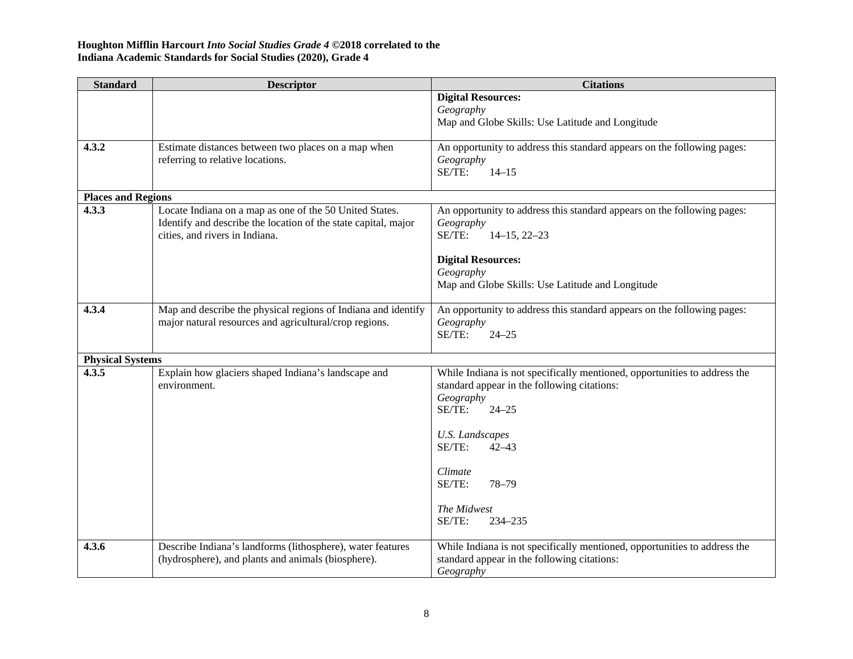| <b>Standard</b>           | <b>Descriptor</b>                                              | <b>Citations</b>                                                          |
|---------------------------|----------------------------------------------------------------|---------------------------------------------------------------------------|
|                           |                                                                | <b>Digital Resources:</b>                                                 |
|                           |                                                                | Geography                                                                 |
|                           |                                                                | Map and Globe Skills: Use Latitude and Longitude                          |
| 4.3.2                     | Estimate distances between two places on a map when            | An opportunity to address this standard appears on the following pages:   |
|                           | referring to relative locations.                               | Geography                                                                 |
|                           |                                                                | SE/TE:<br>$14 - 15$                                                       |
| <b>Places and Regions</b> |                                                                |                                                                           |
| 4.3.3                     | Locate Indiana on a map as one of the 50 United States.        | An opportunity to address this standard appears on the following pages:   |
|                           | Identify and describe the location of the state capital, major | Geography                                                                 |
|                           | cities, and rivers in Indiana.                                 | SE/TE:<br>$14-15, 22-23$                                                  |
|                           |                                                                |                                                                           |
|                           |                                                                | <b>Digital Resources:</b>                                                 |
|                           |                                                                | Geography                                                                 |
|                           |                                                                | Map and Globe Skills: Use Latitude and Longitude                          |
| 4.3.4                     | Map and describe the physical regions of Indiana and identify  | An opportunity to address this standard appears on the following pages:   |
|                           | major natural resources and agricultural/crop regions.         | Geography                                                                 |
|                           |                                                                | SE/TE:<br>$24 - 25$                                                       |
| <b>Physical Systems</b>   |                                                                |                                                                           |
| 4.3.5                     | Explain how glaciers shaped Indiana's landscape and            | While Indiana is not specifically mentioned, opportunities to address the |
|                           | environment.                                                   | standard appear in the following citations:                               |
|                           |                                                                | Geography                                                                 |
|                           |                                                                | SE/TE:<br>$24 - 25$                                                       |
|                           |                                                                | <b>U.S. Landscapes</b>                                                    |
|                           |                                                                | SE/TE:<br>$42 - 43$                                                       |
|                           |                                                                |                                                                           |
|                           |                                                                | Climate                                                                   |
|                           |                                                                | SE/TE:<br>$78 - 79$                                                       |
|                           |                                                                | The Midwest                                                               |
|                           |                                                                | SE/TE:<br>234-235                                                         |
|                           |                                                                |                                                                           |
| 4.3.6                     | Describe Indiana's landforms (lithosphere), water features     | While Indiana is not specifically mentioned, opportunities to address the |
|                           | (hydrosphere), and plants and animals (biosphere).             | standard appear in the following citations:                               |
|                           |                                                                | Geography                                                                 |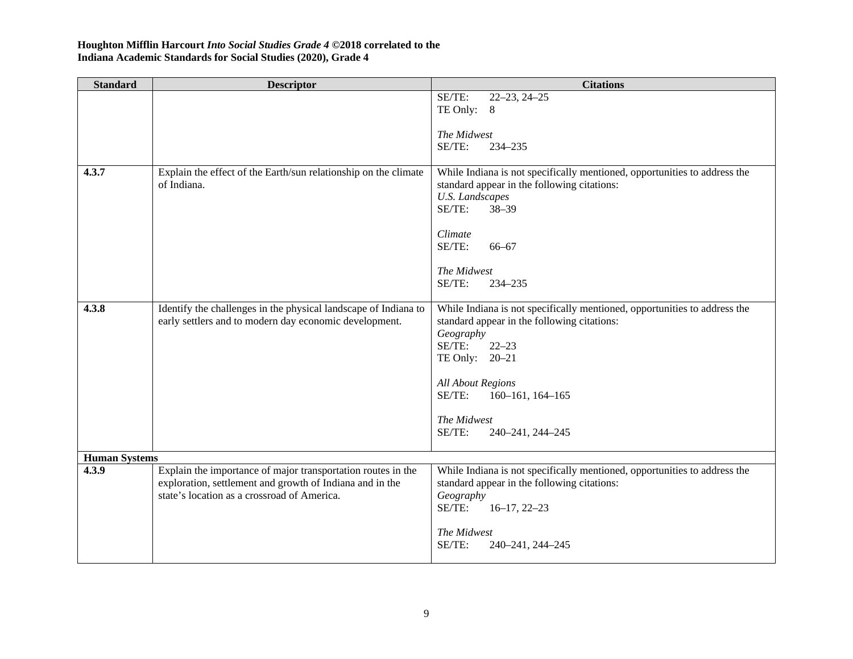| <b>Standard</b>      | <b>Descriptor</b>                                                                                                                                                       | <b>Citations</b>                                                                                                                                                                                                                                                                      |
|----------------------|-------------------------------------------------------------------------------------------------------------------------------------------------------------------------|---------------------------------------------------------------------------------------------------------------------------------------------------------------------------------------------------------------------------------------------------------------------------------------|
|                      |                                                                                                                                                                         | SE/TE:<br>$22 - 23, 24 - 25$<br>TE Only: 8                                                                                                                                                                                                                                            |
|                      |                                                                                                                                                                         | The Midwest<br>SE/TE:<br>234-235                                                                                                                                                                                                                                                      |
| 4.3.7                | Explain the effect of the Earth/sun relationship on the climate<br>of Indiana.                                                                                          | While Indiana is not specifically mentioned, opportunities to address the<br>standard appear in the following citations:<br><b>U.S.</b> Landscapes<br>SE/TE:<br>$38 - 39$<br>Climate<br>SE/TE:<br>$66 - 67$                                                                           |
|                      |                                                                                                                                                                         | The Midwest<br>SE/TE:<br>234-235                                                                                                                                                                                                                                                      |
| 4.3.8                | Identify the challenges in the physical landscape of Indiana to<br>early settlers and to modern day economic development.                                               | While Indiana is not specifically mentioned, opportunities to address the<br>standard appear in the following citations:<br>Geography<br>SE/TE:<br>$22 - 23$<br>TE Only: 20-21<br><b>All About Regions</b><br>SE/TE:<br>160-161, 164-165<br>The Midwest<br>SE/TE:<br>240-241, 244-245 |
| <b>Human Systems</b> |                                                                                                                                                                         |                                                                                                                                                                                                                                                                                       |
| 4.3.9                | Explain the importance of major transportation routes in the<br>exploration, settlement and growth of Indiana and in the<br>state's location as a crossroad of America. | While Indiana is not specifically mentioned, opportunities to address the<br>standard appear in the following citations:<br>Geography<br>SE/TE:<br>$16-17, 22-23$<br>The Midwest<br>SE/TE:<br>240-241, 244-245                                                                        |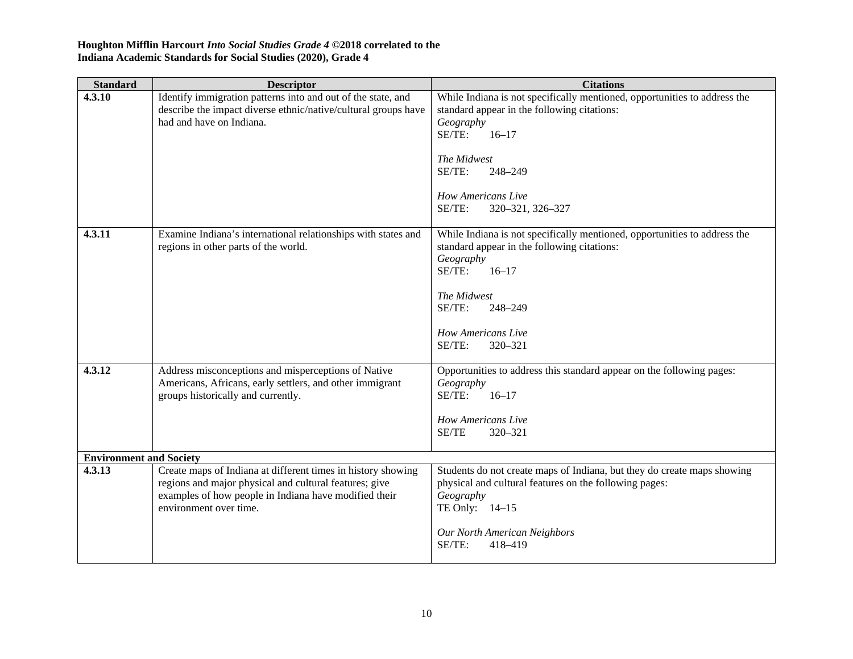| <b>Standard</b>                | <b>Descriptor</b>                                                                                                                                                                                         | <b>Citations</b>                                                                                                                                                                                                                                            |
|--------------------------------|-----------------------------------------------------------------------------------------------------------------------------------------------------------------------------------------------------------|-------------------------------------------------------------------------------------------------------------------------------------------------------------------------------------------------------------------------------------------------------------|
| 4.3.10                         | Identify immigration patterns into and out of the state, and<br>describe the impact diverse ethnic/native/cultural groups have<br>had and have on Indiana.                                                | While Indiana is not specifically mentioned, opportunities to address the<br>standard appear in the following citations:<br>Geography<br>SE/TE:<br>$16 - 17$<br>The Midwest<br>SE/TE:<br>248-249<br><b>How Americans Live</b><br>SE/TE:<br>320-321, 326-327 |
| 4.3.11                         | Examine Indiana's international relationships with states and<br>regions in other parts of the world.                                                                                                     | While Indiana is not specifically mentioned, opportunities to address the<br>standard appear in the following citations:<br>Geography<br>SE/TE:<br>$16 - 17$<br>The Midwest<br>SE/TE:<br>248-249<br><b>How Americans Live</b><br>SE/TE:<br>320-321          |
| 4.3.12                         | Address misconceptions and misperceptions of Native<br>Americans, Africans, early settlers, and other immigrant<br>groups historically and currently.                                                     | Opportunities to address this standard appear on the following pages:<br>Geography<br>SE/TE:<br>$16 - 17$<br>How Americans Live<br>SE/TE<br>320-321                                                                                                         |
| <b>Environment and Society</b> |                                                                                                                                                                                                           |                                                                                                                                                                                                                                                             |
| 4.3.13                         | Create maps of Indiana at different times in history showing<br>regions and major physical and cultural features; give<br>examples of how people in Indiana have modified their<br>environment over time. | Students do not create maps of Indiana, but they do create maps showing<br>physical and cultural features on the following pages:<br>Geography<br>TE Only: 14-15<br>Our North American Neighbors<br>SE/TE:<br>418-419                                       |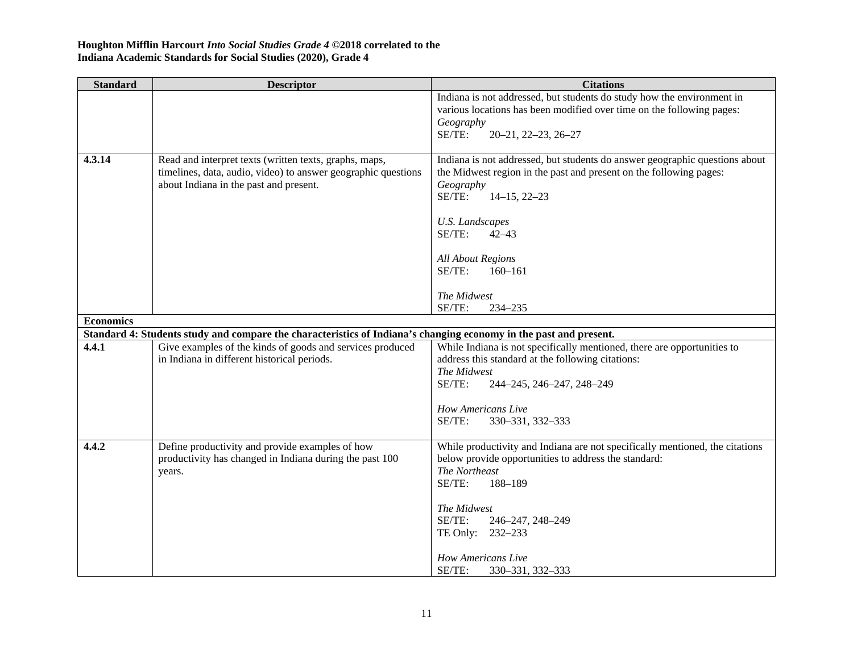| <b>Standard</b>  | <b>Descriptor</b>                                                                                                                                                 | <b>Citations</b>                                                                                                                                                                                                                                                                                                                     |
|------------------|-------------------------------------------------------------------------------------------------------------------------------------------------------------------|--------------------------------------------------------------------------------------------------------------------------------------------------------------------------------------------------------------------------------------------------------------------------------------------------------------------------------------|
|                  |                                                                                                                                                                   | Indiana is not addressed, but students do study how the environment in<br>various locations has been modified over time on the following pages:<br>Geography<br>SE/TE:<br>$20 - 21, 22 - 23, 26 - 27$                                                                                                                                |
| 4.3.14           | Read and interpret texts (written texts, graphs, maps,<br>timelines, data, audio, video) to answer geographic questions<br>about Indiana in the past and present. | Indiana is not addressed, but students do answer geographic questions about<br>the Midwest region in the past and present on the following pages:<br>Geography<br>SE/TE:<br>$14-15, 22-23$<br><b>U.S.</b> Landscapes<br>SE/TE:<br>$42 - 43$<br><b>All About Regions</b><br>SE/TE:<br>$160 - 161$<br>The Midwest<br>SE/TE:<br>234-235 |
| <b>Economics</b> |                                                                                                                                                                   |                                                                                                                                                                                                                                                                                                                                      |
|                  | Standard 4: Students study and compare the characteristics of Indiana's changing economy in the past and present.                                                 |                                                                                                                                                                                                                                                                                                                                      |
| 4.4.1            | Give examples of the kinds of goods and services produced<br>in Indiana in different historical periods.                                                          | While Indiana is not specifically mentioned, there are opportunities to<br>address this standard at the following citations:<br>The Midwest<br>SE/TE:<br>244-245, 246-247, 248-249<br>How Americans Live<br>SE/TE:<br>330-331, 332-333                                                                                               |
| 4.4.2            | Define productivity and provide examples of how<br>productivity has changed in Indiana during the past 100<br>years.                                              | While productivity and Indiana are not specifically mentioned, the citations<br>below provide opportunities to address the standard:<br>The Northeast<br>SE/TE:<br>188-189<br>The Midwest<br>SE/TE:<br>246-247, 248-249<br>TE Only: 232-233<br>How Americans Live<br>SE/TE:<br>330-331, 332-333                                      |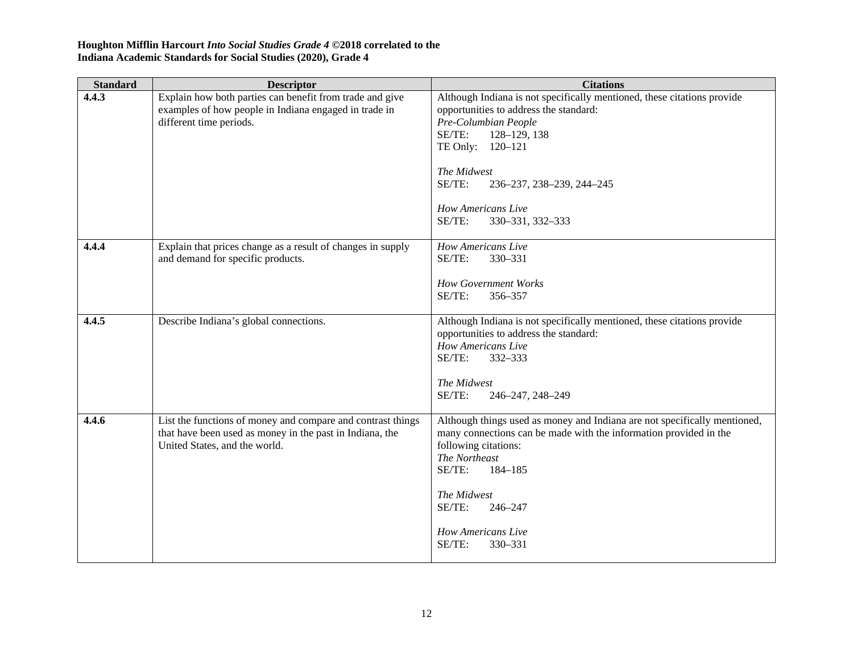| <b>Standard</b> | <b>Descriptor</b>                                                                                                                                        | <b>Citations</b>                                                                                                                                                                                                                                                                                  |
|-----------------|----------------------------------------------------------------------------------------------------------------------------------------------------------|---------------------------------------------------------------------------------------------------------------------------------------------------------------------------------------------------------------------------------------------------------------------------------------------------|
| 4.4.3           | Explain how both parties can benefit from trade and give<br>examples of how people in Indiana engaged in trade in<br>different time periods.             | Although Indiana is not specifically mentioned, these citations provide<br>opportunities to address the standard:<br>Pre-Columbian People<br>SE/TE:<br>128-129, 138<br>TE Only: 120-121<br>The Midwest<br>SE/TE:<br>236-237, 238-239, 244-245<br>How Americans Live<br>SE/TE:<br>330-331, 332-333 |
| 4.4.4           | Explain that prices change as a result of changes in supply<br>and demand for specific products.                                                         | How Americans Live<br>SE/TE:<br>330-331<br><b>How Government Works</b><br>SE/TE:<br>356-357                                                                                                                                                                                                       |
| 4.4.5           | Describe Indiana's global connections.                                                                                                                   | Although Indiana is not specifically mentioned, these citations provide<br>opportunities to address the standard:<br><b>How Americans Live</b><br>SE/TE:<br>332-333<br>The Midwest<br>SE/TE:<br>246-247, 248-249                                                                                  |
| 4.4.6           | List the functions of money and compare and contrast things<br>that have been used as money in the past in Indiana, the<br>United States, and the world. | Although things used as money and Indiana are not specifically mentioned,<br>many connections can be made with the information provided in the<br>following citations:<br>The Northeast<br>SE/TE:<br>184-185<br>The Midwest<br>SE/TE:<br>246-247<br>How Americans Live<br>SE/TE:<br>330-331       |